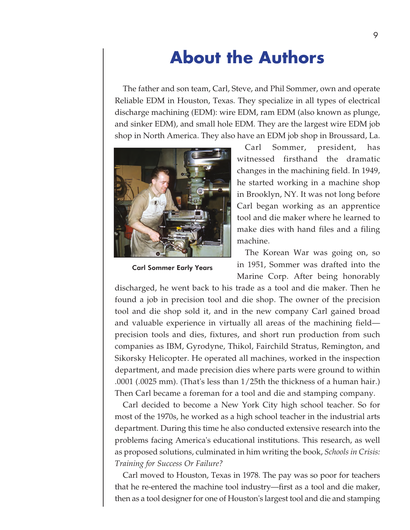# **About the Authors**

The father and son team, Carl, Steve, and Phil Sommer, own and operate Reliable EDM in Houston, Texas. They specialize in all types of electrical discharge machining (EDM): wire EDM, ram EDM (also known as plunge, and sinker EDM), and small hole EDM. They are the largest wire EDM job shop in North America. They also have an EDM job shop in Broussard, La.



Carl Sommer Early Years

Carl Sommer, president, has witnessed firsthand the dramatic changes in the machining field. In 1949, he started working in a machine shop in Brooklyn, NY. It was not long before Carl began working as an apprentice tool and die maker where he learned to make dies with hand files and a filing machine.

The Korean War was going on, so in 1951, Sommer was drafted into the Marine Corp. After being honorably

discharged, he went back to his trade as a tool and die maker. Then he found a job in precision tool and die shop. The owner of the precision tool and die shop sold it, and in the new company Carl gained broad and valuable experience in virtually all areas of the machining field precision tools and dies, fixtures, and short run production from such companies as IBM, Gyrodyne, Thikol, Fairchild Stratus, Remington, and Sikorsky Helicopter. He operated all machines, worked in the inspection department, and made precision dies where parts were ground to within .0001 (.0025 mm). (That's less than 1/25th the thickness of a human hair.) Then Carl became a foreman for a tool and die and stamping company.

Carl decided to become a New York City high school teacher. So for most of the 1970s, he worked as a high school teacher in the industrial arts department. During this time he also conducted extensive research into the problems facing America's educational institutions. This research, as well as proposed solutions, culminated in him writing the book, *Schools in Crisis: Training for Success Or Failure?*

Carl moved to Houston, Texas in 1978. The pay was so poor for teachers that he re-entered the machine tool industry—first as a tool and die maker, then as a tool designer for one of Houston's largest tool and die and stamping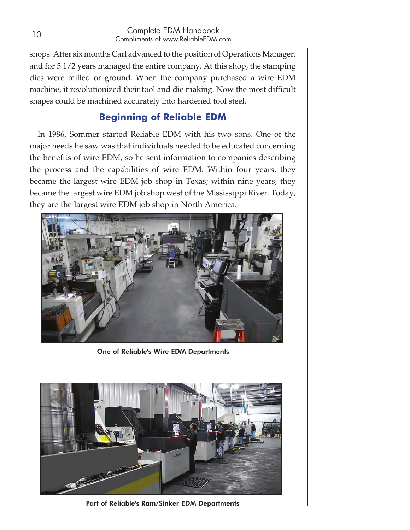#### 10 Complete EDM Handbook Compliments of www.ReliableEDM.com

shops. After six months Carl advanced to the position of Operations Manager, and for 5 1/2 years managed the entire company. At this shop, the stamping dies were milled or ground. When the company purchased a wire EDM machine, it revolutionized their tool and die making. Now the most difficult shapes could be machined accurately into hardened tool steel.

## **Beginning of Reliable EDM**

In 1986, Sommer started Reliable EDM with his two sons. One of the major needs he saw was that individuals needed to be educated concerning the benefits of wire EDM, so he sent information to companies describing the process and the capabilities of wire EDM. Within four years, they became the largest wire EDM job shop in Texas; within nine years, they became the largest wire EDM job shop west of the Mississippi River. Today, they are the largest wire EDM job shop in North America.



One of Reliable's Wire EDM Departments



Part of Reliable's Ram/Sinker EDM Departments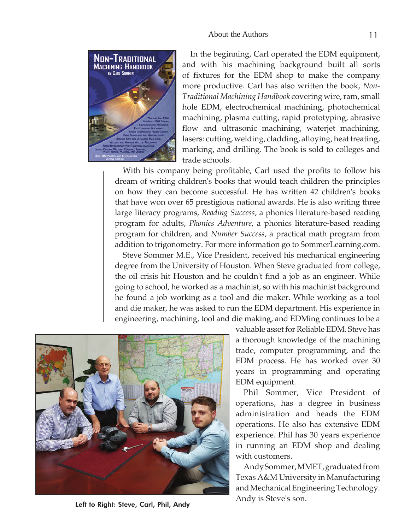

In the beginning, Carl operated the EDM equipment, and with his machining background built all sorts of fixtures for the EDM shop to make the company more productive. Carl has also written the book, *Non-Traditional Machining Handbook* covering wire, ram, small hole EDM, electrochemical machining, photochemical machining, plasma cutting, rapid prototyping, abrasive flow and ultrasonic machining, waterjet machining, lasers: cutting, welding, cladding, alloying, heat treating, marking, and drilling. The book is sold to colleges and trade schools.

With his company being profitable, Carl used the profits to follow his dream of writing children's books that would teach children the principles on how they can become successful. He has written 42 children's books that have won over 65 prestigious national awards. He is also writing three large literacy programs, *Reading Success*, a phonics literature-based reading program for adults, *Phonics Adventure*, a phonics literature-based reading program for children, and *Number Success*, a practical math program from addition to trigonometry. For more information go to SommerLearning.com.

Steve Sommer M.E., Vice President, received his mechanical engineering degree from the University of Houston. When Steve graduated from college, the oil crisis hit Houston and he couldn't find a job as an engineer. While going to school, he worked as a machinist, so with his machinist background he found a job working as a tool and die maker. While working as a tool and die maker, he was asked to run the EDM department. His experience in engineering, machining, tool and die making, and EDMing continues to be a



valuable asset for Reliable EDM. Steve has a thorough knowledge of the machining trade, computer programming, and the EDM process. He has worked over 30 years in programming and operating EDM equipment.

Phil Sommer, Vice President of operations, has a degree in business administration and heads the EDM operations. He also has extensive EDM experience. Phil has 30 years experience in running an EDM shop and dealing with customers.

Andy Sommer, MMET, graduated from Texas A&M University in Manufacturing and Mechanical Engineering Technology.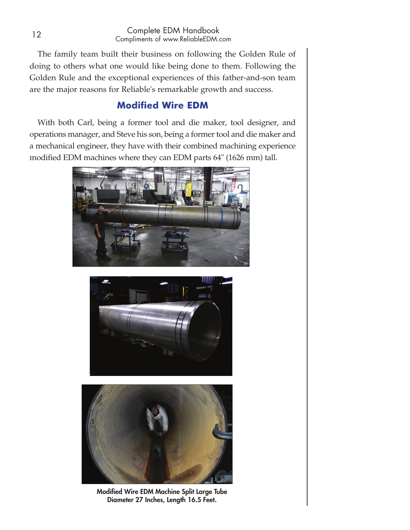#### <sup>12</sup> Complete EDM Handbook Compliments of www.ReliableEDM.com

The family team built their business on following the Golden Rule of doing to others what one would like being done to them. Following the Golden Rule and the exceptional experiences of this father-and-son team are the major reasons for Reliable's remarkable growth and success.

## **Modified Wire EDM**

With both Carl, being a former tool and die maker, tool designer, and operations manager, and Steve his son, being a former tool and die maker and a mechanical engineer, they have with their combined machining experience modified EDM machines where they can EDM parts 64" (1626 mm) tall.







Modified Wire EDM Machine Split Large Tube Diameter 27 Inches, Length 16.5 Feet.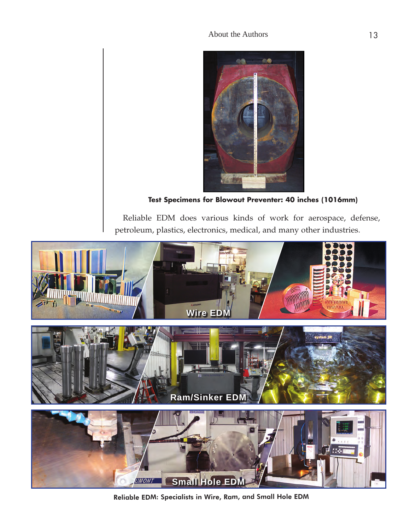### About the Authors 13



**Test Specimens for Blowout Preventer: 40 inches (1016mm)**

Reliable EDM does various kinds of work for aerospace, defense, petroleum, plastics, electronics, medical, and many other industries.



Reliable EDM: Specialists in Wire, Ram, and Small Hole EDM